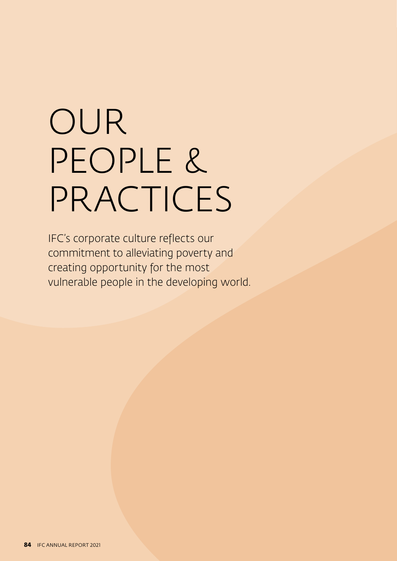# OUR PEOPLE & PRACTICES

IFC's corporate culture reflects our commitment to alleviating poverty and creating opportunity for the most vulnerable people in the developing world.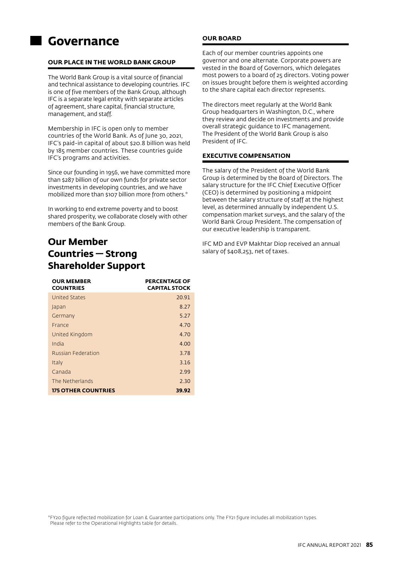## **Governance**

## **OUR PLACE IN THE WORLD BANK GROUP**

The World Bank Group is a vital source of financial and technical assistance to developing countries. IFC is one of five members of the Bank Group, although IFC is a separate legal entity with separate articles of agreement, share capital, financial structure, management, and staff.

Membership in IFC is open only to member countries of the World Bank. As of June 30, 2021, IFC's paid-in capital of about \$20.8 billion was held by 185 member countries. These countries guide IFC's programs and activities.

Since our founding in 1956, we have committed more than \$287 billion of our own funds for private sector investments in developing countries, and we have mobilized more than \$107 billion more from others.\*

In working to end extreme poverty and to boost shared prosperity, we collaborate closely with other members of the Bank Group.

## **Our Member Countries — Strong Shareholder Support**

| <b>OUR MEMBER</b><br><b>COUNTRIES</b> | <b>PERCENTAGE OF</b><br><b>CAPITAL STOCK</b> |
|---------------------------------------|----------------------------------------------|
| <b>United States</b>                  | 20.91                                        |
| Japan                                 | 8.27                                         |
| Germany                               | 5.27                                         |
| France                                | 4.70                                         |
| United Kingdom                        | 4.70                                         |
| India                                 | 4.00                                         |
| <b>Russian Federation</b>             | 3.78                                         |
| Italy                                 | 3.16                                         |
| Canada                                | 2.99                                         |
| The Netherlands                       | 2.30                                         |
| <b>175 OTHER COUNTRIES</b>            | 39.92                                        |

## **OUR BOARD**

Each of our member countries appoints one governor and one alternate. Corporate powers are vested in the Board of Governors, which delegates most powers to a board of 25 directors. Voting power on issues brought before them is weighted according to the share capital each director represents.

The directors meet regularly at the World Bank Group headquarters in Washington, D.C., where they review and decide on investments and provide overall strategic guidance to IFC management. The President of the World Bank Group is also President of IFC.

## **EXECUTIVE COMPENSATION**

The salary of the President of the World Bank Group is determined by the Board of Directors. The salary structure for the IFC Chief Executive Officer (CEO) is determined by positioning a midpoint between the salary structure of staff at the highest level, as determined annually by independent U.S. compensation market surveys, and the salary of the World Bank Group President. The compensation of our executive leadership is transparent.

IFC MD and EVP Makhtar Diop received an annual salary of \$408,253, net of taxes.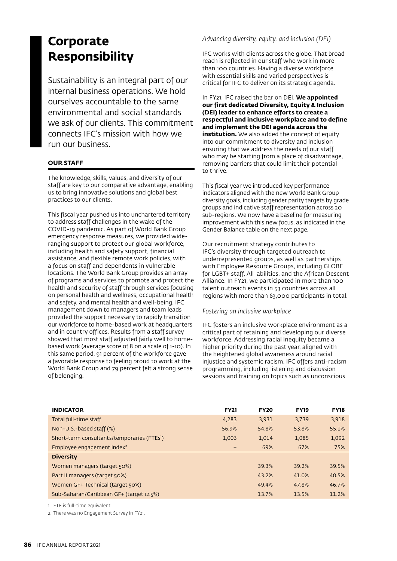# **Corporate Responsibility**

Sustainability is an integral part of our internal business operations. We hold ourselves accountable to the same environmental and social standards we ask of our clients. This commitment connects IFC's mission with how we run our business.

## **OUR STAFF**

The knowledge, skills, values, and diversity of our staff are key to our comparative advantage, enabling us to bring innovative solutions and global best practices to our clients.

This fiscal year pushed us into unchartered territory to address staff challenges in the wake of the COVID-19 pandemic. As part of World Bank Group emergency response measures, we provided wideranging support to protect our global workforce, including health and safety support, financial assistance, and flexible remote work policies, with a focus on staff and dependents in vulnerable locations. The World Bank Group provides an array of programs and services to promote and protect the health and security of staff through services focusing on personal health and wellness, occupational health and safety, and mental health and well-being. IFC management down to managers and team leads provided the support necessary to rapidly transition our workforce to home-based work at headquarters and in country offices. Results from a staff survey showed that most staff adjusted fairly well to homebased work (average score of 8 on a scale of 1-10). In this same period, 91 percent of the workforce gave a favorable response to feeling proud to work at the World Bank Group and 79 percent felt a strong sense of belonging.

*Advancing diversity, equity, and inclusion (DEI)*

IFC works with clients across the globe. That broad reach is reflected in our staff who work in more than 100 countries. Having a diverse workforce with essential skills and varied perspectives is critical for IFC to deliver on its strategic agenda.

In FY21, IFC raised the bar on DEI. **We appointed our first dedicated Diversity, Equity & Inclusion (DEI) leader to enhance efforts to create a respectful and inclusive workplace and to define and implement the DEI agenda across the institution.** We also added the concept of equity into our commitment to diversity and inclusion ensuring that we address the needs of our staff who may be starting from a place of disadvantage, removing barriers that could limit their potential to thrive.

This fiscal year we introduced key performance indicators aligned with the new World Bank Group diversity goals, including gender parity targets by grade groups and indicative staff representation across 20 sub-regions. We now have a baseline for measuring improvement with this new focus, as indicated in the Gender Balance table on the next page.

Our recruitment strategy contributes to IFC's diversity through targeted outreach to underrepresented groups, as well as partnerships with Employee Resource Groups, including GLOBE for LGBT+ staff, All-abilities, and the African Descent Alliance. In FY21, we participated in more than 100 talent outreach events in 53 countries across all regions with more than 63,000 participants in total.

#### *Fostering an inclusive workplace*

IFC fosters an inclusive workplace environment as a critical part of retaining and developing our diverse workforce. Addressing racial inequity became a higher priority during the past year, aligned with the heightened global awareness around racial injustice and systemic racism. IFC offers anti-racism programming, including listening and discussion sessions and training on topics such as unconscious

| <b>FY21</b> | <b>FY20</b> | <b>FY19</b> | <b>FY18</b> |
|-------------|-------------|-------------|-------------|
| 4.283       | 3,931       | 3.739       | 3,918       |
| 56.9%       | 54.8%       | 53.8%       | 55.1%       |
| 1,003       | 1,014       | 1,085       | 1,092       |
|             | 69%         | 67%         | 75%         |
|             |             |             |             |
|             | 39.3%       | 39.2%       | 39.5%       |
|             | 43.2%       | 41.0%       | 40.5%       |
|             | 49.4%       | 478%        | 46.7%       |
|             | 13.7%       | 13.5%       | 11.2%       |
|             |             |             |             |

1. FTE is full-time equivalent.

2. There was no Engagement Survey in FY21.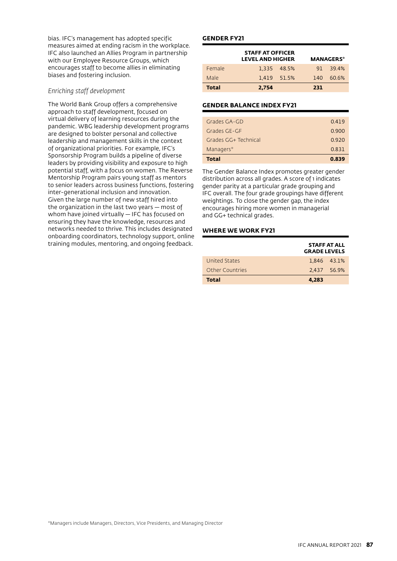bias. IFC's management has adopted specific measures aimed at ending racism in the workplace. IFC also launched an Allies Program in partnership with our Employee Resource Groups, which encourages staff to become allies in eliminating biases and fostering inclusion.

## *Enriching staff development*

The World Bank Group offers a comprehensive approach to staff development, focused on virtual delivery of learning resources during the pandemic. WBG leadership development programs are designed to bolster personal and collective leadership and management skills in the context of organizational priorities. For example, IFC's Sponsorship Program builds a pipeline of diverse leaders by providing visibility and exposure to high potential staff, with a focus on women. The Reverse Mentorship Program pairs young staff as mentors to senior leaders across business functions, fostering inter-generational inclusion and innovation. Given the large number of new staff hired into the organization in the last two years — most of whom have joined virtually — IFC has focused on ensuring they have the knowledge, resources and networks needed to thrive. This includes designated onboarding coordinators, technology support, online training modules, mentoring, and ongoing feedback.

#### **GENDER FY21**

|        | <b>STAFF AT OFFICER</b><br><b>LEVEL AND HIGHER</b> | <b>MANAGERS*</b> |     |                  |
|--------|----------------------------------------------------|------------------|-----|------------------|
| Female |                                                    | 1.335 48.5%      |     | $91 \quad 394\%$ |
| Male   |                                                    | 1.419 51.5%      | 140 | 60.6%            |
| Total  | 2.754                                              |                  | 231 |                  |

## **GENDER BALANCE INDEX FY21**

| <b>Total</b>         | 0.839 |
|----------------------|-------|
| Managers*            | 0.831 |
| Grades GG+ Technical | 0.920 |
| Grades GE-GE         | 0.900 |
| Grades GA-GD         | 0.419 |
|                      |       |

The Gender Balance Index promotes greater gender distribution across all grades. A score of 1 indicates gender parity at a particular grade grouping and IFC overall. The four grade groupings have different weightings. To close the gender gap, the index encourages hiring more women in managerial and GG+ technical grades.

## **WHERE WE WORK FY21**

|                        | <b>STAFF AT ALL</b><br><b>GRADE LEVELS</b> |  |
|------------------------|--------------------------------------------|--|
| United States          | 1.846 43.1%                                |  |
| <b>Other Countries</b> | 2.437 56.9%                                |  |
| <b>Total</b>           | 4.283                                      |  |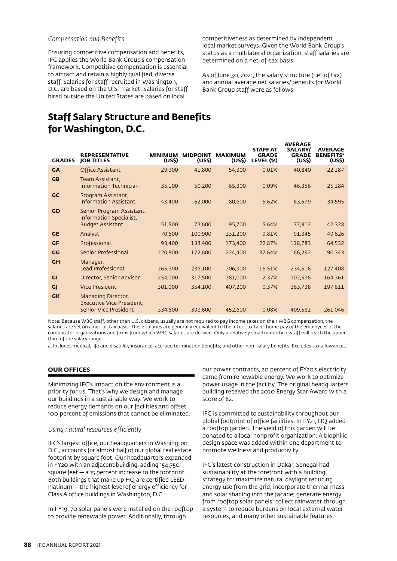#### *Compensation and Benefits*

Ensuring competitive compensation and benefits, IFC applies the World Bank Group's compensation framework. Competitive compensation is essential to attract and retain a highly qualified, diverse staff. Salaries for staff recruited in Washington, D.C. are based on the U.S. market. Salaries for staff hired outside the United States are based on local

competitiveness as determined by independent local market surveys. Given the World Bank Group's status as a multilateral organization, staff salaries are determined on a net-of-tax basis.

As of June 30, 2021, the salary structure (net of tax) and annual average net salaries/benefits for World Bank Group staff were as follows:

## **Staff Salary Structure and Benefits for Washington, D.C.**

| <b>GRADES</b> | <b>REPRESENTATIVE</b><br><b>JOB TITLES</b>                                      | <b>MINIMUM</b><br>(USS) | <b>MIDPOINT</b><br>(USS) | <b>MAXIMUM</b><br>(USS) | <b>STAFF AT</b><br><b>GRADE</b><br>LEVEL (%) | <b>AVERAGE</b><br><b>SALARY/</b><br><b>GRADE</b><br>(US\$) | <b>AVERAGE</b><br><b>BENEFITS<sup>a</sup></b><br>(USS) |
|---------------|---------------------------------------------------------------------------------|-------------------------|--------------------------|-------------------------|----------------------------------------------|------------------------------------------------------------|--------------------------------------------------------|
| <b>GA</b>     | <b>Office Assistant</b>                                                         | 29,300                  | 41,800                   | 54,300                  | 0.01%                                        | 40,840                                                     | 22,187                                                 |
| <b>GB</b>     | Team Assistant,<br><b>Information Technician</b>                                | 35,100                  | 50,200                   | 65,300                  | 0.09%                                        | 46,356                                                     | 25,184                                                 |
| GC            | Program Assistant,<br><b>Information Assistant</b>                              | 43,400                  | 62,000                   | 80,600                  | 5.62%                                        | 63,679                                                     | 34,595                                                 |
| <b>GD</b>     | Senior Program Assistant,<br>Information Specialist,<br><b>Budget Assistant</b> | 51,500                  | 73,600                   | 95,700                  | 5.64%                                        | 77,912                                                     | 42,328                                                 |
| <b>GE</b>     | Analyst                                                                         | 70,600                  | 100,900                  | 131,200                 | 9.81%                                        | 91,345                                                     | 49,626                                                 |
| <b>GF</b>     | Professional                                                                    | 93,400                  | 133,400                  | 173,400                 | 22.87%                                       | 118,783                                                    | 64,532                                                 |
| GG            | <b>Senior Professional</b>                                                      | 120,800                 | 172,600                  | 224,400                 | 37.64%                                       | 166,292                                                    | 90,343                                                 |
| <b>GH</b>     | Manager,<br><b>Lead Professional</b>                                            | 165,300                 | 236,100                  | 306,900                 | 15.51%                                       | 234,516                                                    | 127,408                                                |
| GI            | Director, Senior Advisor                                                        | 254,000                 | 317,500                  | 381,000                 | 2.37%                                        | 302,536                                                    | 164,361                                                |
| GJ            | <b>Vice President</b>                                                           | 301,000                 | 354,100                  | 407,200                 | 0.37%                                        | 363,738                                                    | 197,611                                                |
| <b>GK</b>     | Managing Director,<br><b>Executive Vice President.</b><br>Senior Vice President | 334,600                 | 393,600                  | 452,600                 | 0.08%                                        | 409,581                                                    | 261,046                                                |
|               |                                                                                 |                         |                          |                         |                                              |                                                            |                                                        |

Note: Because WBG staff, other than U.S. citizens, usually are not required to pay income taxes on their WBG compensation, the salaries are set on a net-of-tax basis. These salaries are generally equivalent to the after-tax take-home pay of the employees of the comparator organizations and firms from which WBG salaries are derived. Only a relatively small minority of staff will reach the upper third of the salary range.

a. Includes medical, life and disability insurance; accrued termination benefits; and other non-salary benefits. Excludes tax allowances.

## **OUR OFFICES**

Minimizing IFC's impact on the environment is a priority for us. That's why we design and manage our buildings in a sustainable way. We work to reduce energy demands on our facilities and offset 100 percent of emissions that cannot be eliminated.

#### *Using natural resources efficiently*

IFC's largest office, our headquarters in Washington, D.C., accounts for almost half of our global real estate footprint by square foot. Our headquarters expanded in FY20 with an adjacent building, adding 154,750 square feet — a 15 percent increase to the footprint. Both buildings that make up HQ are certified LEED Platinum — the highest level of energy efficiency for Class A office buildings in Washington, D.C.

In FY19, 70 solar panels were installed on the rooftop to provide renewable power. Additionally, through

our power contracts, 20 percent of FY20's electricity came from renewable energy. We work to optimize power usage in the facility. The original headquarters building received the 2020 Energy Star Award with a score of 82.

IFC is committed to sustainability throughout our global footprint of office facilities. In FY21, HQ added a rooftop garden. The yield of this garden will be donated to a local nonprofit organization. A biophilic design space was added within one department to promote wellness and productivity.

IFC's latest construction in Dakar, Senegal had sustainability at the forefront with a building strategy to: maximize natural daylight reducing energy use from the grid; incorporate thermal mass and solar shading into the façade; generate energy from rooftop solar panels; collect rainwater through a system to reduce burdens on local external water resources; and many other sustainable features.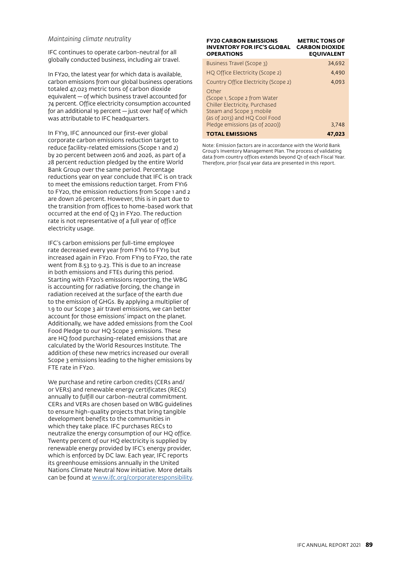#### *Maintaining climate neutrality*

IFC continues to operate carbon-neutral for all globally conducted business, including air travel.

In FY20, the latest year for which data is available, carbon emissions from our global business operations totaled 47,023 metric tons of carbon dioxide equivalent — of which business travel accounted for 74 percent. Office electricity consumption accounted for an additional 19 percent — just over half of which was attributable to IFC headquarters.

In FY19, IFC announced our first-ever global corporate carbon emissions reduction target to reduce facility-related emissions (Scope 1 and 2) by 20 percent between 2016 and 2026, as part of a 28 percent reduction pledged by the entire World Bank Group over the same period. Percentage reductions year on year conclude that IFC is on track to meet the emissions reduction target. From FY16 to FY20, the emission reductions from Scope 1 and 2 are down 26 percent. However, this is in part due to the transition from offices to home-based work that occurred at the end of Q3 in FY20. The reduction rate is not representative of a full year of office electricity usage.

IFC's carbon emissions per full-time employee rate decreased every year from FY16 to FY19 but increased again in FY20. From FY19 to FY20, the rate went from 8.53 to 9.23. This is due to an increase in both emissions and FTEs during this period. Starting with FY20's emissions reporting, the WBG is accounting for radiative forcing, the change in radiation received at the surface of the earth due to the emission of GHGs. By applying a multiplier of 1.9 to our Scope 3 air travel emissions, we can better account for those emissions' impact on the planet. Additionally, we have added emissions from the Cool Food Pledge to our HQ Scope 3 emissions. These are HQ food purchasing-related emissions that are calculated by the World Resources Institute. The addition of these new metrics increased our overall Scope 3 emissions leading to the higher emissions by FTE rate in FY20.

We purchase and retire carbon credits (CERs and/ or VERs) and renewable energy certificates (RECs) annually to fulfill our carbon-neutral commitment. CERs and VERs are chosen based on WBG guidelines to ensure high-quality projects that bring tangible development benefits to the communities in which they take place. IFC purchases RECs to neutralize the energy consumption of our HQ office. Twenty percent of our HQ electricity is supplied by renewable energy provided by IFC's energy provider, which is enforced by DC law. Each year, IFC reports its greenhouse emissions annually in the United Nations Climate Neutral Now initiative. More details can be found at [www.ifc.org/corporateresponsibility](http://www.ifc.org/corporateresponsibility).

| <b>FY20 CARBON EMISSIONS</b><br><b>INVENTORY FOR IFC'S GLOBAL</b><br><b>OPERATIONS</b>                                                                                 | <b>METRIC TONS OF</b><br><b>CARBON DIOXIDE</b><br><b>EOUIVALENT</b> |
|------------------------------------------------------------------------------------------------------------------------------------------------------------------------|---------------------------------------------------------------------|
| Business Travel (Scope 3)                                                                                                                                              | 34.692                                                              |
| HQ Office Electricity (Scope 2)                                                                                                                                        | 4,490                                                               |
| Country Office Electricity (Scope 2)                                                                                                                                   | 4.093                                                               |
| Other<br>(Scope 1, Scope 2 from Water<br>Chiller Electricity, Purchased<br>Steam and Scope 3 mobile<br>(as of 2013) and HQ Cool Food<br>Pledge emissions (as of 2020)) | 3.748                                                               |
|                                                                                                                                                                        |                                                                     |
| <b>TOTAL EMISSIONS</b>                                                                                                                                                 | 47.023                                                              |

Note: Emission factors are in accordance with the World Bank Group's Inventory Management Plan. The process of validating data from country offices extends beyond Q1 of each Fiscal Year. Therefore, prior fiscal year data are presented in this report.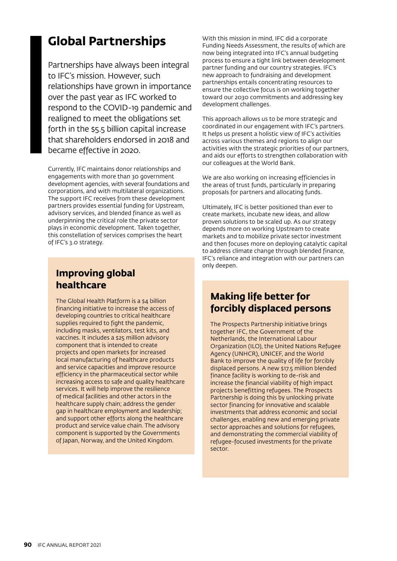# **Global Partnerships**

Partnerships have always been integral to IFC's mission. However, such relationships have grown in importance over the past year as IFC worked to respond to the COVID-19 pandemic and realigned to meet the obligations set forth in the \$5.5 billion capital increase that shareholders endorsed in 2018 and became effective in 2020.

Currently, IFC maintains donor relationships and engagements with more than 30 government development agencies, with several foundations and corporations, and with multilateral organizations. The support IFC receives from these development partners provides essential funding for Upstream, advisory services, and blended finance as well as underpinning the critical role the private sector plays in economic development. Taken together, this constellation of services comprises the heart of IFC's 3.0 strategy.

## **Improving global healthcare**

The Global Health Platform is a \$4 billion financing initiative to increase the access of developing countries to critical healthcare supplies required to fight the pandemic, including masks, ventilators, test kits, and vaccines. It includes a \$25 million advisory component that is intended to create projects and open markets for increased local manufacturing of healthcare products and service capacities and improve resource efficiency in the pharmaceutical sector while increasing access to safe and quality healthcare services. It will help improve the resilience of medical facilities and other actors in the healthcare supply chain; address the gender gap in healthcare employment and leadership; and support other efforts along the healthcare product and service value chain. The advisory component is supported by the Governments of Japan, Norway, and the United Kingdom.

With this mission in mind, IFC did a corporate Funding Needs Assessment, the results of which are now being integrated into IFC's annual budgeting process to ensure a tight link between development partner funding and our country strategies. IFC's new approach to fundraising and development partnerships entails concentrating resources to ensure the collective focus is on working together toward our 2030 commitments and addressing key development challenges.

This approach allows us to be more strategic and coordinated in our engagement with IFC's partners. It helps us present a holistic view of IFC's activities across various themes and regions to align our activities with the strategic priorities of our partners, and aids our efforts to strengthen collaboration with our colleagues at the World Bank.

We are also working on increasing efficiencies in the areas of trust funds, particularly in preparing proposals for partners and allocating funds.

Ultimately, IFC is better positioned than ever to create markets, incubate new ideas, and allow proven solutions to be scaled up. As our strategy depends more on working Upstream to create markets and to mobilize private sector investment and then focuses more on deploying catalytic capital to address climate change through blended finance, IFC's reliance and integration with our partners can only deepen.

## **Making life better for forcibly displaced persons**

The Prospects Partnership initiative brings together IFC, the Government of the Netherlands, the International Labour Organization (ILO), the United Nations Refugee Agency (UNHCR), UNICEF, and the World Bank to improve the quality of life for forcibly displaced persons. A new \$17.5 million blended finance facility is working to de-risk and increase the financial viability of high impact projects benefitting refugees. The Prospects Partnership is doing this by unlocking private sector financing for innovative and scalable investments that address economic and social challenges, enabling new and emerging private sector approaches and solutions for refugees, and demonstrating the commercial viability of refugee-focused investments for the private sector.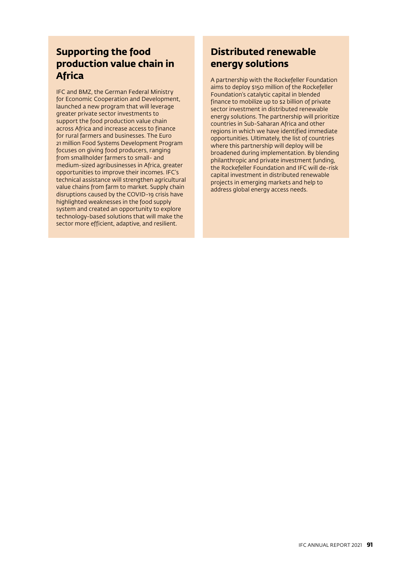## **Supporting the food production value chain in Africa**

IFC and BMZ, the German Federal Ministry for Economic Cooperation and Development, launched a new program that will leverage greater private sector investments to support the food production value chain across Africa and increase access to finance for rural farmers and businesses. The Euro 21 million Food Systems Development Program focuses on giving food producers, ranging from smallholder farmers to small- and medium-sized agribusinesses in Africa, greater opportunities to improve their incomes. IFC's technical assistance will strengthen agricultural value chains from farm to market. Supply chain disruptions caused by the COVID-19 crisis have highlighted weaknesses in the food supply system and created an opportunity to explore technology-based solutions that will make the sector more efficient, adaptive, and resilient.

## **Distributed renewable energy solutions**

A partnership with the Rockefeller Foundation aims to deploy \$150 million of the Rockefeller Foundation's catalytic capital in blended finance to mobilize up to \$2 billion of private sector investment in distributed renewable energy solutions. The partnership will prioritize countries in Sub-Saharan Africa and other regions in which we have identified immediate opportunities. Ultimately, the list of countries where this partnership will deploy will be broadened during implementation. By blending philanthropic and private investment funding, the Rockefeller Foundation and IFC will de-risk capital investment in distributed renewable projects in emerging markets and help to address global energy access needs.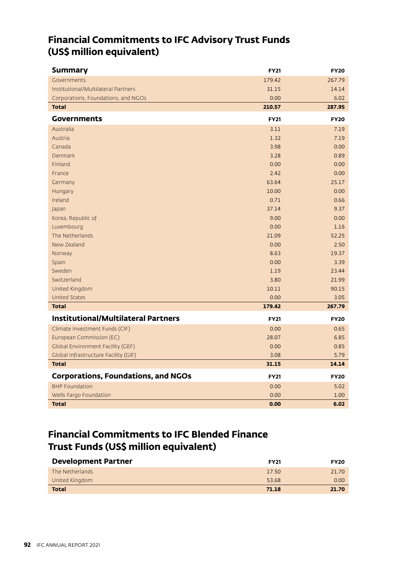## **Financial Commitments to IFC Advisory Trust Funds (US\$ million equivalent)**

| <b>Summary</b>                             | <b>FY21</b> | <b>FY20</b> |
|--------------------------------------------|-------------|-------------|
| Governments                                | 179.42      | 267.79      |
| Institutional/Multilateral Partners        | 31.15       | 14.14       |
| Corporations, Foundations, and NGOs        | 0.00        | 6.02        |
| <b>Total</b>                               | 210.57      | 287.95      |
| Governments                                | <b>FY21</b> | <b>FY20</b> |
| Australia                                  | 3.11        | 7.19        |
| Austria                                    | 1.32        | 7.19        |
| Canada                                     | 3.98        | 0.00        |
| <b>Denmark</b>                             | 3.28        | 0.89        |
| Finland                                    | 0.00        | 0.00        |
| France                                     | 2.42        | 0.00        |
| Germany                                    | 63.64       | 25.17       |
| Hungary                                    | 10.00       | 0.00        |
| Ireland                                    | 0.71        | 0.66        |
| Japan                                      | 37.14       | 9.37        |
| Korea, Republic of                         | 9.00        | 0.00        |
| Luxembourg                                 | 0.00        | 1.16        |
| The Netherlands                            | 21.09       | 52.25       |
| New Zealand                                | 0.00        | 2.50        |
| Norway                                     | 8.63        | 19.37       |
| Spain                                      | 0.00        | 3.39        |
| Sweden                                     | 1.19        | 23.44       |
| Switzerland                                | 3.80        | 21.99       |
| United Kingdom                             | 10.11       | 90.15       |
| <b>United States</b>                       | 0.00        | 3.05        |
| <b>Total</b>                               | 179.42      | 267.79      |
| <b>Institutional/Multilateral Partners</b> | <b>FY21</b> | <b>FY20</b> |
| Climate Investment Funds (CIF)             | 0.00        | 0.65        |
| European Commission (EC)                   | 28.07       | 6.85        |
| Global Environment Facility (GEF)          | 0.00        | 0.85        |
| Global Infrastructure Facility (GIF)       | 3.08        | 5.79        |
| <b>Total</b>                               | 31.15       | 14.14       |
| <b>Corporations, Foundations, and NGOs</b> | <b>FY21</b> | <b>FY20</b> |
| <b>BHP Foundation</b>                      | 0.00        | 5.02        |
| Wells Fargo Foundation                     | 0.00        | 1.00        |
| <b>Total</b>                               | 0.00        | 6.02        |

## **Financial Commitments to IFC Blended Finance Trust Funds (US\$ million equivalent)**

| <b>Development Partner</b> | <b>FY21</b> | <b>FY20</b> |
|----------------------------|-------------|-------------|
| The Netherlands            | 17.50       | 21.70       |
| United Kingdom             | 53.68       | 0.00        |
| <b>Total</b>               | 71.18       | 21.70       |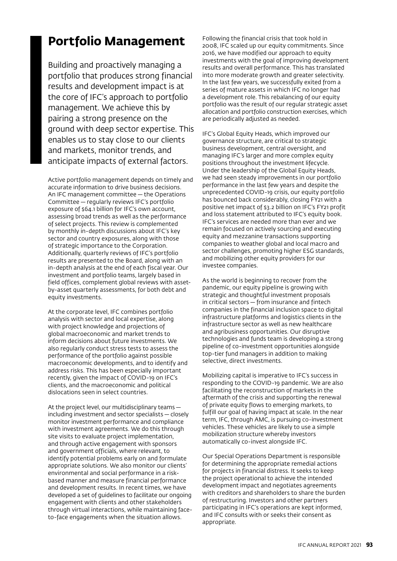# **Portfolio Management**

Building and proactively managing a portfolio that produces strong financial results and development impact is at the core of IFC's approach to portfolio management. We achieve this by pairing a strong presence on the ground with deep sector expertise. This enables us to stay close to our clients and markets, monitor trends, and anticipate impacts of external factors.

Active portfolio management depends on timely and accurate information to drive business decisions. An IFC management committee — the Operations Committee — regularly reviews IFC's portfolio exposure of \$64.1 billion for IFC's own account, assessing broad trends as well as the performance of select projects. This review is complemented by monthly in-depth discussions about IFC's key sector and country exposures, along with those of strategic importance to the Corporation. Additionally, quarterly reviews of IFC's portfolio results are presented to the Board, along with an in-depth analysis at the end of each fiscal year. Our investment and portfolio teams, largely based in field offices, complement global reviews with assetby-asset quarterly assessments, for both debt and equity investments.

At the corporate level, IFC combines portfolio analysis with sector and local expertise, along with project knowledge and projections of global macroeconomic and market trends to inform decisions about future investments. We also regularly conduct stress tests to assess the performance of the portfolio against possible macroeconomic developments, and to identify and address risks. This has been especially important recently, given the impact of COVID-19 on IFC's clients, and the macroeconomic and political dislocations seen in select countries.

At the project level, our multidisciplinary teams  including investment and sector specialists — closely monitor investment performance and compliance with investment agreements. We do this through site visits to evaluate project implementation, and through active engagement with sponsors and government officials, where relevant, to identify potential problems early on and formulate appropriate solutions. We also monitor our clients' environmental and social performance in a riskbased manner and measure financial performance and development results. In recent times, we have developed a set of guidelines to facilitate our ongoing engagement with clients and other stakeholders through virtual interactions, while maintaining faceto-face engagements when the situation allows.

Following the financial crisis that took hold in 2008, IFC scaled up our equity commitments. Since 2016, we have modified our approach to equity investments with the goal of improving development results and overall performance. This has translated into more moderate growth and greater selectivity. In the last few years, we successfully exited from a series of mature assets in which IFC no longer had a development role. This rebalancing of our equity portfolio was the result of our regular strategic asset allocation and portfolio construction exercises, which are periodically adjusted as needed.

IFC's Global Equity Heads, which improved our governance structure, are critical to strategic business development, central oversight, and managing IFC's larger and more complex equity positions throughout the investment lifecycle. Under the leadership of the Global Equity Heads, we had seen steady improvements in our portfolio performance in the last few years and despite the unprecedented COVID-19 crisis, our equity portfolio has bounced back considerably, closing FY21 with a positive net impact of \$3.2 billion on IFC's FY21 profit and loss statement attributed to IFC's equity book. IFC's services are needed more than ever and we remain focused on actively sourcing and executing equity and mezzanine transactions supporting companies to weather global and local macro and sector challenges, promoting higher ESG standards, and mobilizing other equity providers for our investee companies.

As the world is beginning to recover from the pandemic, our equity pipeline is growing with strategic and thoughtful investment proposals in critical sectors — from insurance and fintech companies in the financial inclusion space to digital infrastructure platforms and logistics clients in the infrastructure sector as well as new healthcare and agribusiness opportunities. Our disruptive technologies and funds team is developing a strong pipeline of co-investment opportunities alongside top-tier fund managers in addition to making selective, direct investments.

Mobilizing capital is imperative to IFC's success in responding to the COVID-19 pandemic. We are also facilitating the reconstruction of markets in the aftermath of the crisis and supporting the renewal of private equity flows to emerging markets, to fulfill our goal of having impact at scale. In the near term, IFC, through AMC, is pursuing co-investment vehicles. These vehicles are likely to use a simple mobilization structure whereby investors automatically co-invest alongside IFC.

Our Special Operations Department is responsible for determining the appropriate remedial actions for projects in financial distress. It seeks to keep the project operational to achieve the intended development impact and negotiates agreements with creditors and shareholders to share the burden of restructuring. Investors and other partners participating in IFC's operations are kept informed, and IFC consults with or seeks their consent as appropriate.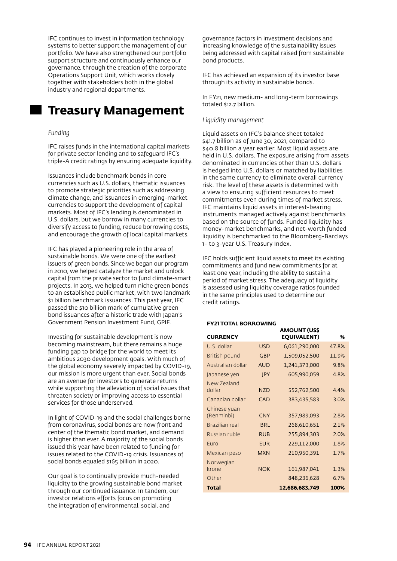IFC continues to invest in information technology systems to better support the management of our portfolio. We have also strengthened our portfolio support structure and continuously enhance our governance, through the creation of the corporate Operations Support Unit, which works closely together with stakeholders both in the global industry and regional departments.

## **Treasury Management**

#### *Funding*

IFC raises funds in the international capital markets for private sector lending and to safeguard IFC's triple-A credit ratings by ensuring adequate liquidity.

Issuances include benchmark bonds in core currencies such as U.S. dollars, thematic issuances to promote strategic priorities such as addressing climate change, and issuances in emerging-market currencies to support the development of capital markets. Most of IFC's lending is denominated in U.S. dollars, but we borrow in many currencies to diversify access to funding, reduce borrowing costs, and encourage the growth of local capital markets.

IFC has played a pioneering role in the area of sustainable bonds. We were one of the earliest issuers of green bonds. Since we began our program in 2010, we helped catalyze the market and unlock capital from the private sector to fund climate-smart projects. In 2013, we helped turn niche green bonds to an established public market, with two landmark \$1 billion benchmark issuances. This past year, IFC passed the \$10 billion mark of cumulative green bond issuances after a historic trade with Japan's Government Pension Investment Fund, GPIF.

Investing for sustainable development is now becoming mainstream, but there remains a huge funding gap to bridge for the world to meet its ambitious 2030 development goals. With much of the global economy severely impacted by COVID-19, our mission is more urgent than ever. Social bonds are an avenue for investors to generate returns while supporting the alleviation of social issues that threaten society or improving access to essential services for those underserved.

In light of COVID-19 and the social challenges borne from coronavirus, social bonds are now front and center of the thematic bond market, and demand is higher than ever. A majority of the social bonds issued this year have been related to funding for issues related to the COVID-19 crisis. Issuances of social bonds equaled \$165 billion in 2020.

Our goal is to continually provide much-needed liquidity to the growing sustainable bond market through our continued issuance. In tandem, our investor relations efforts focus on promoting the integration of environmental, social, and

governance factors in investment decisions and increasing knowledge of the sustainability issues being addressed with capital raised from sustainable bond products.

IFC has achieved an expansion of its investor base through its activity in sustainable bonds.

In FY21, new medium- and long-term borrowings totaled \$12.7 billion.

#### *Liquidity management*

Liquid assets on IFC's balance sheet totaled \$41.7 billion as of June 30, 2021, compared to \$40.8 billion a year earlier. Most liquid assets are held in U.S. dollars. The exposure arising from assets denominated in currencies other than U.S. dollars is hedged into U.S. dollars or matched by liabilities in the same currency to eliminate overall currency risk. The level of these assets is determined with a view to ensuring sufficient resources to meet commitments even during times of market stress. IFC maintains liquid assets in interest-bearing instruments managed actively against benchmarks based on the source of funds. Funded liquidity has money-market benchmarks, and net-worth funded liquidity is benchmarked to the Bloomberg-Barclays 1- to 3-year U.S. Treasury Index.

IFC holds sufficient liquid assets to meet its existing commitments and fund new commitments for at least one year, including the ability to sustain a period of market stress. The adequacy of liquidity is assessed using liquidity coverage ratios founded in the same principles used to determine our credit ratings.

**AMOUNT (US\$** 

#### **FY21 TOTAL BORROWING**

| <b>CURRENCY</b>            |            | AMUUN I (USS<br><b>EOUIVALENT)</b> | ℅     |
|----------------------------|------------|------------------------------------|-------|
| U.S. dollar                | USD        | 6,061,290,000                      | 47.8% |
| British pound              | <b>GBP</b> | 1,509,052,500                      | 11.9% |
| Australian dollar          | <b>AUD</b> | 1,241,373,000                      | 9.8%  |
| Japanese yen               | JPY        | 605,990,059                        | 4.8%  |
| New Zealand<br>dollar      | <b>NZD</b> | 552,762,500                        | 4.4%  |
| Canadian dollar            | <b>CAD</b> | 383,435,583                        | 3.0%  |
| Chinese yuan<br>(Renminbi) | <b>CNY</b> | 357,989,093                        | 2.8%  |
| Brazilian real             | <b>BRL</b> | 268,610,651                        | 2.1%  |
| Russian ruble              | <b>RUB</b> | 255,894,303                        | 2.0%  |
| Euro                       | <b>EUR</b> | 229,112,000                        | 1.8%  |
| Mexican peso               | <b>MXN</b> | 210,950,391                        | 1.7%  |
| Norwegian<br>krone         | <b>NOK</b> | 161,987,041                        | 1.3%  |
| Other                      |            | 848,236,628                        | 6.7%  |
| Total                      |            | 12,686,683,749                     | 100%  |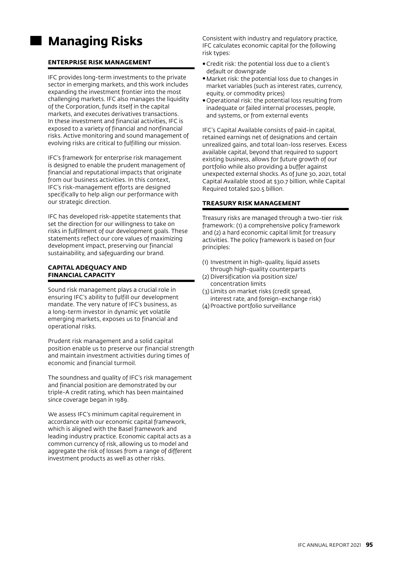# **Managing Risks**

## **ENTERPRISE RISK MANAGEMENT**

IFC provides long-term investments to the private sector in emerging markets, and this work includes expanding the investment frontier into the most challenging markets. IFC also manages the liquidity of the Corporation, funds itself in the capital markets, and executes derivatives transactions. In these investment and financial activities, IFC is exposed to a variety of financial and nonfinancial risks. Active monitoring and sound management of evolving risks are critical to fulfilling our mission.

IFC's framework for enterprise risk management is designed to enable the prudent management of financial and reputational impacts that originate from our business activities. In this context, IFC's risk-management efforts are designed specifically to help align our performance with our strategic direction.

IFC has developed risk-appetite statements that set the direction for our willingness to take on risks in fulfillment of our development goals. These statements reflect our core values of maximizing development impact, preserving our financial sustainability, and safeguarding our brand.

#### **CAPITAL ADEQUACY AND FINANCIAL CAPACITY**

Sound risk management plays a crucial role in ensuring IFC's ability to fulfill our development mandate. The very nature of IFC's business, as a long-term investor in dynamic yet volatile emerging markets, exposes us to financial and operational risks.

Prudent risk management and a solid capital position enable us to preserve our financial strength and maintain investment activities during times of economic and financial turmoil.

The soundness and quality of IFC's risk management and financial position are demonstrated by our triple-A credit rating, which has been maintained since coverage began in 1989.

We assess IFC's minimum capital requirement in accordance with our economic capital framework, which is aligned with the Basel framework and leading industry practice. Economic capital acts as a common currency of risk, allowing us to model and aggregate the risk of losses from a range of different investment products as well as other risks.

Consistent with industry and regulatory practice, IFC calculates economic capital for the following risk types:

- •Credit risk: the potential loss due to a client's default or downgrade
- •Market risk: the potential loss due to changes in market variables (such as interest rates, currency, equity, or commodity prices)
- •Operational risk: the potential loss resulting from inadequate or failed internal processes, people, and systems, or from external events

IFC's Capital Available consists of paid-in capital, retained earnings net of designations and certain unrealized gains, and total loan-loss reserves. Excess available capital, beyond that required to support existing business, allows for future growth of our portfolio while also providing a buffer against unexpected external shocks. As of June 30, 2021, total Capital Available stood at \$30.7 billion, while Capital Required totaled \$20.5 billion.

## **TREASURY RISK MANAGEMENT**

Treasury risks are managed through a two-tier risk framework: (1) a comprehensive policy framework and (2) a hard economic capital limit for treasury activities. The policy framework is based on four principles:

- (1) Investment in high-quality, liquid assets through high-quality counterparts
- (2) Diversification via position size/ concentration limits
- (3) Limits on market risks (credit spread, interest rate, and foreign-exchange risk)
- (4)Proactive portfolio surveillance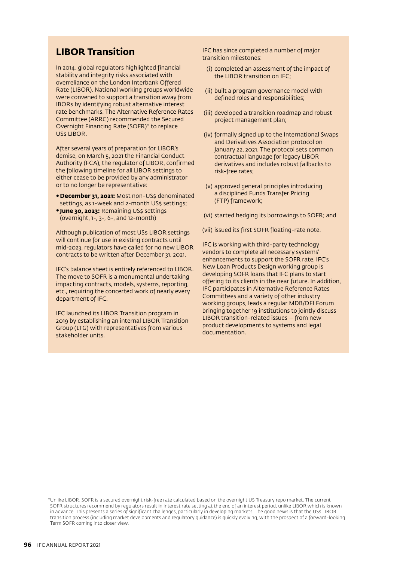## **LIBOR Transition**

In 2014, global regulators highlighted financial stability and integrity risks associated with overreliance on the London Interbank Offered Rate (LIBOR). National working groups worldwide were convened to support a transition away from IBORs by identifying robust alternative interest rate benchmarks. The Alternative Reference Rates Committee (ARRC) recommended the Secured Overnight Financing Rate (SOFR)\* to replace US\$ LIBOR.

After several years of preparation for LIBOR's demise, on March 5, 2021 the Financial Conduct Authority (FCA), the regulator of LIBOR, confirmed the following timeline for all LIBOR settings to either cease to be provided by any administrator or to no longer be representative:

- December 31, 2021: Most non-US\$ denominated settings, as 1-week and 2-month US\$ settings;
- **June 30, 2023: Remaining US\$ settings** (overnight, 1-, 3-, 6-, and 12-month)

Although publication of most US\$ LIBOR settings will continue for use in existing contracts until mid-2023, regulators have called for no new LIBOR contracts to be written after December 31, 2021.

IFC's balance sheet is entirely referenced to LIBOR. The move to SOFR is a monumental undertaking impacting contracts, models, systems, reporting, etc., requiring the concerted work of nearly every department of IFC.

IFC launched its LIBOR Transition program in 2019 by establishing an internal LIBOR Transition Group (LTG) with representatives from various stakeholder units.

IFC has since completed a number of major transition milestones:

- (i) completed an assessment of the impact of the LIBOR transition on IFC;
- (ii) built a program governance model with defined roles and responsibilities;
- (iii) developed a transition roadmap and robust project management plan;
- (iv) formally signed up to the International Swaps and Derivatives Association protocol on January 22, 2021. The protocol sets common contractual language for legacy LIBOR derivatives and includes robust fallbacks to risk-free rates;
- (v) approved general principles introducing a disciplined Funds Transfer Pricing (FTP) framework;
- (vi) started hedging its borrowings to SOFR; and
- (vii) issued its first SOFR floating-rate note.

IFC is working with third-party technology vendors to complete all necessary systems' enhancements to support the SOFR rate. IFC's New Loan Products Design working group is developing SOFR loans that IFC plans to start offering to its clients in the near future. In addition, IFC participates in Alternative Reference Rates Committees and a variety of other industry working groups, leads a regular MDB/DFI Forum bringing together 19 institutions to jointly discuss LIBOR transition-related issues — from new product developments to systems and legal documentation.

<sup>\*</sup>Unlike LIBOR, SOFR is a secured overnight risk-free rate calculated based on the overnight US Treasury repo market. The current SOFR structures recommend by regulators result in interest rate setting at the end of an interest period, unlike LIBOR which is known in advance. This presents a series of significant challenges, particularly in developing markets. The good news is that the US\$ LIBOR transition process (including market developments and regulatory guidance) is quickly evolving, with the prospect of a forward-looking Term SOFR coming into closer view.